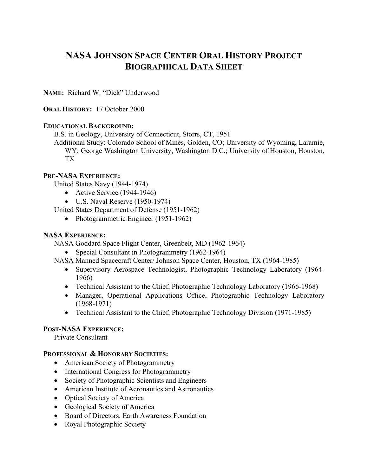# **NASA JOHNSON SPACE CENTER ORAL HISTORY PROJECT BIOGRAPHICAL DATA SHEET**

**NAME:** Richard W. "Dick" Underwood

## **ORAL HISTORY:** 17 October 2000

## **EDUCATIONAL BACKGROUND:**

B.S. in Geology, University of Connecticut, Storrs, CT, 1951

Additional Study: Colorado School of Mines, Golden, CO; University of Wyoming, Laramie, WY; George Washington University, Washington D.C.; University of Houston, Houston, TX

## **PRE-NASA EXPERIENCE:**

United States Navy (1944-1974)

- Active Service (1944-1946)
- U.S. Naval Reserve (1950-1974)

United States Department of Defense (1951-1962)

• Photogrammetric Engineer (1951-1962)

## **NASA EXPERIENCE:**

NASA Goddard Space Flight Center, Greenbelt, MD (1962-1964)

• Special Consultant in Photogrammetry (1962-1964)

NASA Manned Spacecraft Center/ Johnson Space Center, Houston, TX (1964-1985)

- Supervisory Aerospace Technologist, Photographic Technology Laboratory (1964- 1966)
- Technical Assistant to the Chief, Photographic Technology Laboratory (1966-1968)
- Manager, Operational Applications Office, Photographic Technology Laboratory (1968-1971)
- Technical Assistant to the Chief, Photographic Technology Division (1971-1985)

## **POST-NASA EXPERIENCE:**

Private Consultant

## **PROFESSIONAL & HONORARY SOCIETIES:**

- American Society of Photogrammetry
- International Congress for Photogrammetry
- Society of Photographic Scientists and Engineers
- American Institute of Aeronautics and Astronautics
- Optical Society of America
- Geological Society of America
- Board of Directors, Earth Awareness Foundation
- Royal Photographic Society